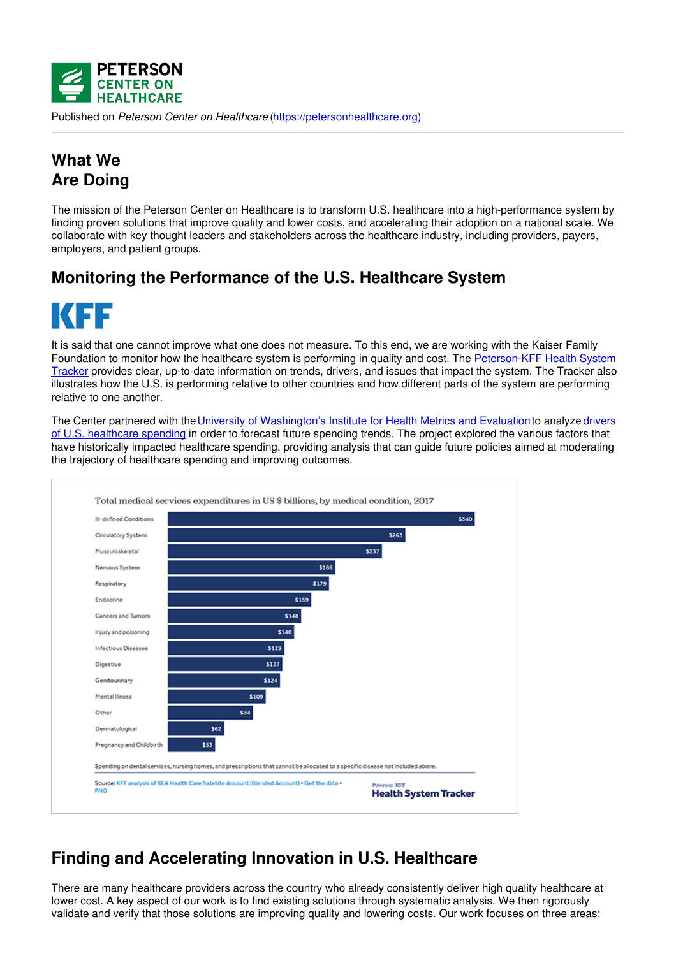

Published on *Peterson Center on Healthcare* [\(https://petersonhealthcare.org](https://petersonhealthcare.org))

## **What We Are Doing**

The mission of the Peterson Center on Healthcare is to transform U.S. healthcare into a high-performance system by finding proven solutions that improve quality and lower costs, and accelerating their adoption on a national scale. We collaborate with key thought leaders and stakeholders across the healthcare industry, including providers, payers, employers, and patient groups.

## **Monitoring the Performance of the U.S. Healthcare System**



It is said that one cannot improve what one does not measure. To this end, we are working with the Kaiser Family Foundation to monitor how the healthcare system is performing in quality and cost. The [Peterson-KFF](https://www.healthsystemtracker.org/) Health System Tracker provides clear, up-to-date information on trends, drivers, and issues that impact the system. The Tracker also illustrates how the U.S. is performing relative to other countries and how different parts of the system are performing relative to one another.

The Center partnered with the University of [Washington's](file:///price-and-intensity-identified-major-drivers-rising-healthcare-spending) Institute for Health Metrics and Evaluation to analyze drivers of U.S. healthcare spending in order to forecast future spending trends. The project explored the various factors that have historically impacted healthcare spending, providing analysis that can guide future policies aimed at moderating the trajectory of healthcare spending and improving outcomes.



## **Finding and Accelerating Innovation in U.S. Healthcare**

There are many healthcare providers across the country who already consistently deliver high quality healthcare at lower cost. A key aspect of our work is to find existing solutions through systematic analysis. We then rigorously validate and verify that those solutions are improving quality and lowering costs. Our work focuses on three areas: